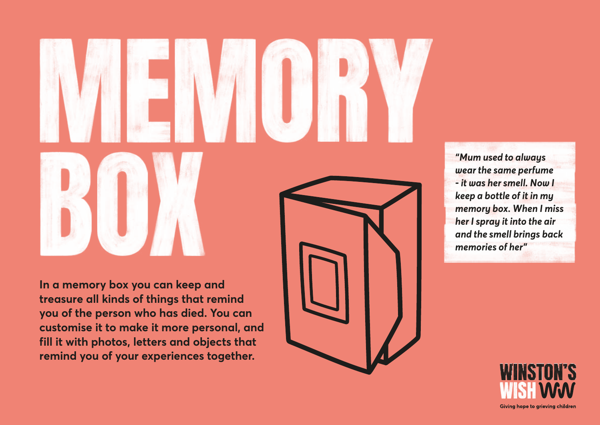

*"Mum used to always wear the same perfume - it was her smell. Now I keep a bottle of it in my memory box. When I miss her I spray it into the air and the smell brings back memories of her"*

**In a memory box you can keep and treasure all kinds of things that remind you of the person who has died. You can customise it to make it more personal, and fill it with photos, letters and objects that remind you of your experiences together.**